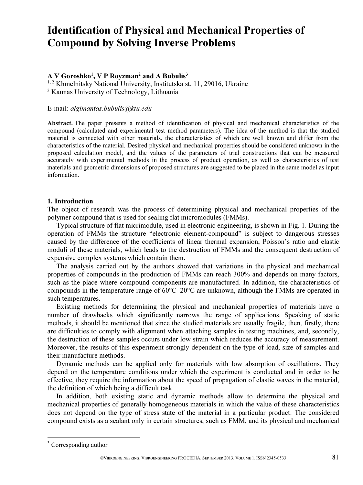# Identification of Physical and Mechanical Properties of Compound by Solving Inverse Problems

# A V Goroshko<sup>1</sup>, V P Royzman<sup>2</sup> and A Bubulis<sup>3</sup>

<sup>1, 2</sup> Khmelnitsky National University, Institutska st. 11, 29016, Ukraine

3 Kaunas University of Technology, Lithuania

#### E-mail: algimantas.bubulis@ktu.edu

Abstract. The paper presents a method of identification of physical and mechanical characteristics of the compound (calculated and experimental test method parameters). The idea of the method is that the studied material is connected with other materials, the characteristics of which are well known and differ from the characteristics of the material. Desired physical and mechanical properties should be considered unknown in the proposed calculation model, and the values of the parameters of trial constructions that can be measured accurately with experimental methods in the process of product operation, as well as characteristics of test materials and geometric dimensions of proposed structures are suggested to be placed in the same model as input information.

#### 1. Introduction

The object of research was the process of determining physical and mechanical properties of the polymer compound that is used for sealing flat micromodules (FMMs).

Typical structure of flat micrimodule, used in electronic engineering, is shown in Fig. 1. During the operation of FMMs the structure "electronic element-compound" is subject to dangerous stresses caused by the difference of the coefficients of linear thermal expansion, Poisson's ratio and elastic moduli of these materials, which leads to the destruction of FMMs and the consequent destruction of expensive complex systems which contain them.

The analysis carried out by the authors showed that variations in the physical and mechanical properties of compounds in the production of FMMs can reach 300% and depends on many factors, such as the place where compound components are manufactured. In addition, the characteristics of compounds in the temperature range of  $60^{\circ}$ C $-20^{\circ}$ C are unknown, although the FMMs are operated in such temperatures.

Existing methods for determining the physical and mechanical properties of materials have a number of drawbacks which significantly narrows the range of applications. Speaking of static methods, it should be mentioned that since the studied materials are usually fragile, then, firstly, there are difficulties to comply with alignment when attaching samples in testing machines, and, secondly, the destruction of these samples occurs under low strain which reduces the accuracy of measurement. Moreover, the results of this experiment strongly dependent on the type of load, size of samples and their manufacture methods.

Dynamic methods can be applied only for materials with low absorption of oscillations. They depend on the temperature conditions under which the experiment is conducted and in order to be effective, they require the information about the speed of propagation of elastic waves in the material, the definition of which being a difficult task.

In addition, both existing static and dynamic methods allow to determine the physical and mechanical properties of generally homogeneous materials in which the value of these characteristics does not depend on the type of stress state of the material in a particular product. The considered compound exists as a sealant only in certain structures, such as FMM, and its physical and mechanical

 $\overline{a}$ 

<sup>&</sup>lt;sup>3</sup> Corresponding author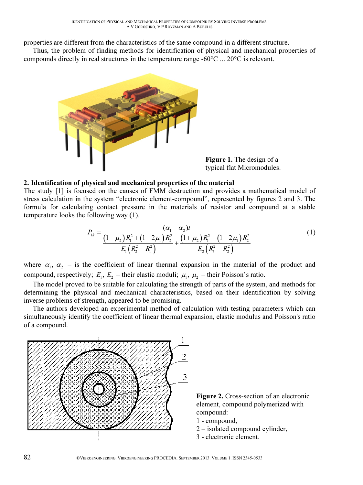properties are different from the characteristics of the same compound in a different structure.

Thus, the problem of finding methods for identification of physical and mechanical properties of compounds directly in real structures in the temperature range -60 $^{\circ}$ C  $\ldots$  20 $^{\circ}$ C is relevant.



Figure 1. The design of a typical flat Micromodules.

### 2. Identification of physical and mechanical properties of the material

The study [1] is focused on the causes of FMM destruction and provides a mathematical model of stress calculation in the system "electronic element-compound", represented by figures 2 and 3. The formula for calculating contact pressure in the materials of resistor and compound at a stable temperature looks the following way (1).

$$
P_{1k} = \frac{(\alpha_1 - \alpha_2)t}{\left(1 - \mu_2\right)R_1^2 + \left(1 - 2\mu_1\right)R_2^2 + \left(1 + \mu_2\right)R_1^2 + \left(1 - 2\mu_1\right)R_2^2}
$$
\n
$$
E_1\left(R_2^2 - R_1^2\right) = \frac{E_2\left(R_3^2 - R_2^2\right)}{E_2\left(R_3^2 - R_2^2\right)}
$$
\n(1)

where  $\alpha_1$ ,  $\alpha_2$  – is the coefficient of linear thermal expansion in the material of the product and compound, respectively;  $E_1$ ,  $E_2$  – their elastic moduli;  $\mu_1$ ,  $\mu_2$  – their Poisson's ratio.

The model proved to be suitable for calculating the strength of parts of the system, and methods for determining the physical and mechanical characteristics, based on their identification by solving inverse problems of strength, appeared to be promising.

The authors developed an experimental method of calculation with testing parameters which can simultaneously identify the coefficient of linear thermal expansion, elastic modulus and Poisson's ratio of a compound.



Figure 2. Cross-section of an electronic element, compound polymerized with compound:

- 1 compound,
- 2 isolated compound cylinder,
- 3 electronic element.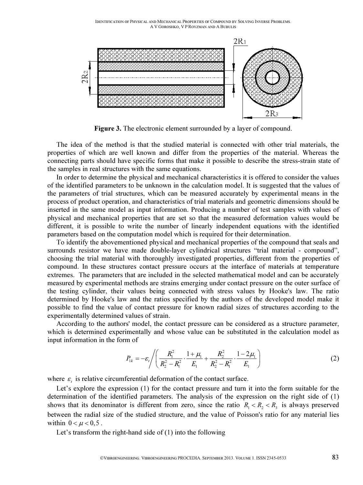IDENTIFICATION OF PHYSICAL AND MECHANICAL PROPERTIES OF COMPOUND BY SOLVING INVERSE PROBLEMS. A V GOROSHKO, V P ROYZMAN AND A BUBULIS

![](_page_2_Figure_1.jpeg)

Figure 3. The electronic element surrounded by a layer of compound.

The idea of the method is that the studied material is connected with other trial materials, the properties of which are well known and differ from the properties of the material. Whereas the connecting parts should have specific forms that make it possible to describe the stress-strain state of the samples in real structures with the same equations.

In order to determine the physical and mechanical characteristics it is offered to consider the values of the identified parameters to be unknown in the calculation model. It is suggested that the values of the parameters of trial structures, which can be measured accurately by experimental means in the process of product operation, and characteristics of trial materials and geometric dimensions should be inserted in the same model as input information. Producing a number of test samples with values of physical and mechanical properties that are set so that the measured deformation values would be different, it is possible to write the number of linearly independent equations with the identified parameters based on the computation model which is required for their determination.

To identify the abovementioned physical and mechanical properties of the compound that seals and surrounds resistor we have made double-layer cylindrical structures "trial material - compound", choosing the trial material with thoroughly investigated properties, different from the properties of compound. In these structures contact pressure occurs at the interface of materials at temperature extremes. The parameters that are included in the selected mathematical model and can be accurately measured by experimental methods are strains emerging under contact pressure on the outer surface of the testing cylinder, their values being connected with stress values by Hooke's law. The ratio determined by Hooke's law and the ratios specified by the authors of the developed model make it possible to find the value of contact pressure for known radial sizes of structures according to the experimentally determined values of strain.

According to the authors' model, the contact pressure can be considered as a structure parameter, which is determined experimentally and whose value can be substituted in the calculation model as input information in the form of

$$
P_{1k} = -\varepsilon_r \left/ \left( \frac{R_1^2}{R_2^2 - R_1^2} \cdot \frac{1 + \mu_1}{E_1} + \frac{R_2^2}{R_2^2 - R_1^2} \cdot \frac{1 - 2\mu_1}{E_1} \right) \right. \tag{2}
$$

where  $\varepsilon_i$  is relative circumferential deformation of the contact surface.

Let's explore the expression (1) for the contact pressure and turn it into the form suitable for the determination of the identified parameters. The analysis of the expression on the right side of (1) shows that its denominator is different from zero, since the ratio  $R_1 < R_2 < R_3$  is always preserved between the radial size of the studied structure, and the value of Poisson's ratio for any material lies within  $0 < \mu < 0.5$ .

Let's transform the right-hand side of (1) into the following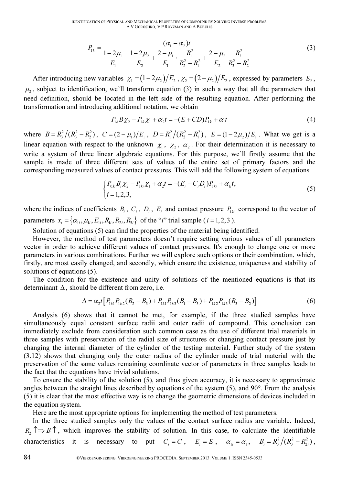$$
P_{1k} = \frac{(\alpha_1 - \alpha_2)t}{\frac{1 - 2\mu_1}{E_1} - \frac{1 - 2\mu_2}{E_2} + \frac{2 - \mu_1}{E_1} \cdot \frac{R_1^2}{R_2^2 - R_1^2} + \frac{2 - \mu_2}{E_2} \frac{R_3^2}{R_3^2 - R_2^2}}
$$
(3)

After introducing new variables  $\chi_1 = (1 - 2\mu_2)/E_2$ ,  $\chi_2 = (2 - \mu_2)/E_2$ , expressed by parameters  $E_2$ ,  $\mu_2$ , subject to identification, we'll transform equation (3) in such a way that all the parameters that need definition, should be located in the left side of the resulting equation. After performing the transformation and introducing additional notation, we obtain

$$
P_{1k}B\chi_2 - P_{1k}\chi_1 + \alpha_2 t = -(E + CD)P_{1k} + \alpha_1 t \tag{4}
$$

where  $B = R_3^2/(R_3^2 - R_2^2)$ ,  $C = (2 - \mu_1)/E_1$ ,  $D = R_1^2/(R_2^2 - R_1^2)$ ,  $E = (1 - 2\mu_2)/E_1$ . What we get is a linear equation with respect to the unknown  $\chi_1$ ,  $\chi_2$ ,  $\alpha_2$ . For their determination it is necessary to write a system of three linear algebraic equations. For this purpose, we'll firstly assume that the sample is made of three different sets of values of the entire set of primary factors and the corresponding measured values of contact pressures. This will add the following system of equations

$$
\begin{cases} P_{0ki}B_i\chi_2 - P_{1ki}\chi_1 + \alpha_2 t = -(E_i - C_i D_i)P_{1ki} + \alpha_{1i}t, \\ i = 1, 2, 3, \end{cases}
$$
\n(5)

where the indices of coefficients  $B_i$ ,  $C_i$ ,  $D_i$ ,  $E_i$  and contact pressure  $P_{1ki}$  correspond to the vector of parameters  $\overline{x}_i = {\alpha_{1i}, \mu_{1i}, E_{1i}, R_{1i}, R_{2i}, R_{3i}}$  of the "*i*" trial sample (*i* = 1, 2, 3).

Solution of equations (5) can find the properties of the material being identified.

However, the method of test parameters doesn't require setting various values of all parameters vector in order to achieve different values of contact pressures. It's enough to change one or more parameters in various combinations. Further we will explore such options or their combination, which, firstly, are most easily changed, and secondly, which ensure the existence, uniqueness and stability of solutions of equations (5).

The condition for the existence and unity of solutions of the mentioned equations is that its determinant  $\Delta$ , should be different from zero, i.e.

$$
\Delta = \alpha_2 t \left[ P_{1k1} P_{1k2} (B_2 - B_3) + P_{1k1} P_{1k3} (B_1 - B_3) + P_{1k2} P_{1k3} (B_3 - B_2) \right]
$$
(6)

Analysis (6) shows that it cannot be met, for example, if the three studied samples have simultaneously equal constant surface radii and outer radii of compound. This conclusion can immediately exclude from consideration such common case as the use of different trial materials in three samples with preservation of the radial size of structures or changing contact pressure just by changing the internal diameter of the cylinder of the testing material. Further study of the system (3.12) shows that changing only the outer radius of the cylinder made of trial material with the preservation of the same values remaining coordinate vector of parameters in three samples leads to the fact that the equations have trivial solutions.

To ensure the stability of the solution (5), and thus given accuracy, it is necessary to approximate angles between the straight lines described by equations of the system (5), and 90°. From the analysis (5) it is clear that the most effective way is to change the geometric dimensions of devices included in the equation system.

Here are the most appropriate options for implementing the method of test parameters.

In the three studied samples only the values of the contact surface radius are variable. Indeed,  $R_2 \nightharpoonup B \nightharpoonup$ , which improves the stability of solution. In this case, to calculate the identifiable characteristics it is necessary to put  $C_i = C$ ,  $E_i = E$ ,  $\alpha_{1i} = \alpha_1$ ,  $B_i = R_3^2/(R_3^2 - R_{2i}^2)$ ,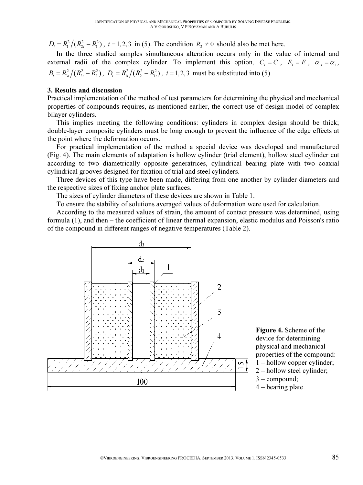$D_i = R_i^2 / (R_{2i}^2 - R_1^2)$ ,  $i = 1, 2, 3$  in (5). The condition  $R_2 \neq 0$  should also be met here.

In the three studied samples simultaneous alteration occurs only in the value of internal and external radii of the complex cylinder. To implement this option,  $C_i = C$ ,  $E_i = E$ ,  $\alpha_{1i} = \alpha_1$ ,  $B_i = R_{3i}^2/(R_{3i}^2 - R_2^2)$ ,  $D_i = R_{1i}^2/(R_2^2 - R_{1i}^2)$ ,  $i = 1, 2, 3$  must be substituted into (5).

#### 3. Results and discussion

Practical implementation of the method of test parameters for determining the physical and mechanical properties of compounds requires, as mentioned earlier, the correct use of design model of complex bilayer cylinders.

This implies meeting the following conditions: cylinders in complex design should be thick; double-layer composite cylinders must be long enough to prevent the influence of the edge effects at the point where the deformation occurs.

For practical implementation of the method a special device was developed and manufactured (Fig. 4). The main elements of adaptation is hollow cylinder (trial element), hollow steel cylinder cut according to two diametrically opposite generatrices, cylindrical bearing plate with two coaxial cylindrical grooves designed for fixation of trial and steel cylinders.

Three devices of this type have been made, differing from one another by cylinder diameters and the respective sizes of fixing anchor plate surfaces.

The sizes of cylinder diameters of these devices are shown in Table 1.

To ensure the stability of solutions averaged values of deformation were used for calculation.

According to the measured values of strain, the amount of contact pressure was determined, using formula (1), and then – the coefficient of linear thermal expansion, elastic modulus and Poisson's ratio of the compound in different ranges of negative temperatures (Table 2).

![](_page_4_Figure_11.jpeg)

Figure 4. Scheme of the device for determining physical and mechanical properties of the compound: 1 – hollow copper cylinder; 2 – hollow steel cylinder;

- 3 compound;
- 4 bearing plate.